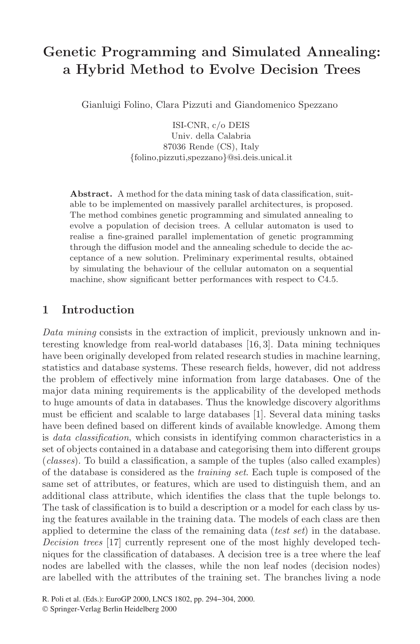# **Genetic Programming and Simulated Annealing: a Hybrid Method to Evolve Decision Trees**

Gianluigi Folino, Clara Pizzuti and Giandomenico Spezzano

ISI-CNR, c/o DEIS Univ. della Calabria 87036 Rende (CS), Italy {folino,pizzuti,spezzano}@si.deis.unical.it

**Abstract.** A method for the data mining task of data classification, suitable to be implemented on massively parallel architectures, is proposed. The method combines genetic programming and simulated annealing to evolve a population of decision trees. A cellular automaton is used to realise a fine-grained parallel implementation of genetic programming through the diffusion model and the annealing schedule to decide the acceptance of a new solution. Preliminary experimental results, obtained by simulating the behaviour of the cellular automaton on a sequential machine, show significant better performances with respect to C4.5.

#### **1 Introduction**

Data mining consists in the extraction of implicit, previously unknown and interesting knowledge from real-world databases [16, 3]. Data mining techniques have been originally developed from related research studies in machine learning, statistics and database systems. These research fields, however, did not address the problem of effectively mine information from large databases. One of the major data mining requirements is the applicability of the developed methods to huge amounts of data in databases. Thus the knowledge discovery algorithms must be efficient and scalable to large databases [1]. Several data mining tasks have been defined based on different kinds of available knowledge. Among them is data classification, which consists in identifying common characteristics in a set of objects contained in a database and categorising them into different groups (classes). To build a classification, a sample of the tuples (also called examples) of the database is considered as the training set. Each tuple is composed of the same set of attributes, or features, which are used to distinguish them, and an additional class attribute, which identifies the class that the tuple belongs to. The task of classification is to build a description or a model for each class by using the features available in the training data. The models of each class are then applied to determine the class of the remaining data (test set) in the database. Decision trees [17] currently represent one of the most highly developed techniques for the classification of databases. A decision tree is a tree where the leaf nodes are labelled with the classes, while the non leaf nodes (decision nodes) are labelled with the attributes of the training set. The branches living a node

R. Poli et al. (Eds.): EuroGP 2000, LNCS 1802, pp. 294−304, 2000.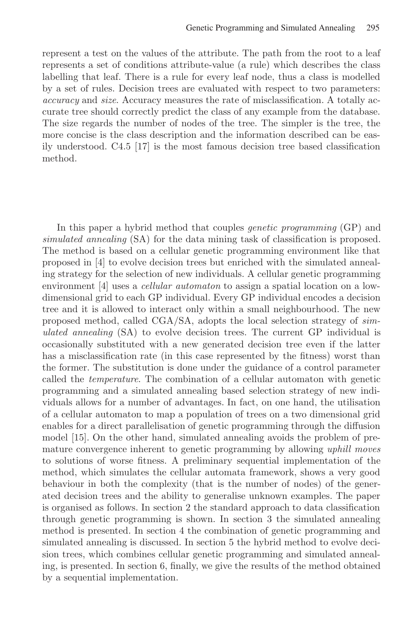represent a test on the values of the attribute. The path from the root to a leaf represents a set of conditions attribute-value (a rule) which describes the class labelling that leaf. There is a rule for every leaf node, thus a class is modelled by a set of rules. Decision trees are evaluated with respect to two parameters: accuracy and size. Accuracy measures the rate of misclassification. A totally accurate tree should correctly predict the class of any example from the database. The size regards the number of nodes of the tree. The simpler is the tree, the more concise is the class description and the information described can be easily understood. C4.5 [17] is the most famous decision tree based classification method.

In this paper a hybrid method that couples genetic programming (GP) and simulated annealing (SA) for the data mining task of classification is proposed. The method is based on a cellular genetic programming environment like that proposed in [4] to evolve decision trees but enriched with the simulated annealing strategy for the selection of new individuals. A cellular genetic programming environment [4] uses a cellular automaton to assign a spatial location on a lowdimensional grid to each GP individual. Every GP individual encodes a decision tree and it is allowed to interact only within a small neighbourhood. The new proposed method, called CGA/SA, adopts the local selection strategy of simulated annealing (SA) to evolve decision trees. The current GP individual is occasionally substituted with a new generated decision tree even if the latter has a misclassification rate (in this case represented by the fitness) worst than the former. The substitution is done under the guidance of a control parameter called the temperature. The combination of a cellular automaton with genetic programming and a simulated annealing based selection strategy of new individuals allows for a number of advantages. In fact, on one hand, the utilisation of a cellular automaton to map a population of trees on a two dimensional grid enables for a direct parallelisation of genetic programming through the diffusion model [15]. On the other hand, simulated annealing avoids the problem of premature convergence inherent to genetic programming by allowing uphill moves to solutions of worse fitness. A preliminary sequential implementation of the method, which simulates the cellular automata framework, shows a very good behaviour in both the complexity (that is the number of nodes) of the generated decision trees and the ability to generalise unknown examples. The paper is organised as follows. In section 2 the standard approach to data classification through genetic programming is shown. In section 3 the simulated annealing method is presented. In section 4 the combination of genetic programming and simulated annealing is discussed. In section 5 the hybrid method to evolve decision trees, which combines cellular genetic programming and simulated annealing, is presented. In section 6, finally, we give the results of the method obtained by a sequential implementation.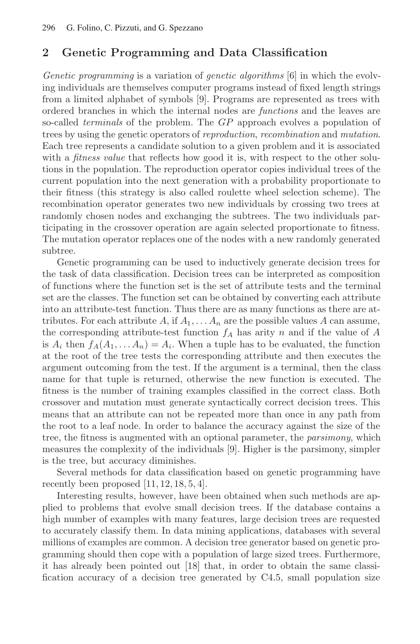#### **2 Genetic Programming and Data Classification**

Genetic programming is a variation of genetic algorithms [6] in which the evolving individuals are themselves computer programs instead of fixed length strings from a limited alphabet of symbols [9]. Programs are represented as trees with ordered branches in which the internal nodes are functions and the leaves are so-called terminals of the problem. The GP approach evolves a population of trees by using the genetic operators of reproduction, recombination and mutation. Each tree represents a candidate solution to a given problem and it is associated with a *fitness value* that reflects how good it is, with respect to the other solutions in the population. The reproduction operator copies individual trees of the current population into the next generation with a probability proportionate to their fitness (this strategy is also called roulette wheel selection scheme). The recombination operator generates two new individuals by crossing two trees at randomly chosen nodes and exchanging the subtrees. The two individuals participating in the crossover operation are again selected proportionate to fitness. The mutation operator replaces one of the nodes with a new randomly generated subtree.

Genetic programming can be used to inductively generate decision trees for the task of data classification. Decision trees can be interpreted as composition of functions where the function set is the set of attribute tests and the terminal set are the classes. The function set can be obtained by converting each attribute into an attribute-test function. Thus there are as many functions as there are attributes. For each attribute A, if  $A_1, \ldots, A_n$  are the possible values A can assume, the corresponding attribute-test function  $f_A$  has arity n and if the value of A is  $A_i$  then  $f_A(A_1,...A_n) = A_i$ . When a tuple has to be evaluated, the function at the root of the tree tests the corresponding attribute and then executes the argument outcoming from the test. If the argument is a terminal, then the class name for that tuple is returned, otherwise the new function is executed. The fitness is the number of training examples classified in the correct class. Both crossover and mutation must generate syntactically correct decision trees. This means that an attribute can not be repeated more than once in any path from the root to a leaf node. In order to balance the accuracy against the size of the tree, the fitness is augmented with an optional parameter, the parsimony, which measures the complexity of the individuals [9]. Higher is the parsimony, simpler is the tree, but accuracy diminishes.

Several methods for data classification based on genetic programming have recently been proposed  $[11, 12, 18, 5, 4]$ .

Interesting results, however, have been obtained when such methods are applied to problems that evolve small decision trees. If the database contains a high number of examples with many features, large decision trees are requested to accurately classify them. In data mining applications, databases with several millions of examples are common. A decision tree generator based on genetic programming should then cope with a population of large sized trees. Furthermore, it has already been pointed out [18] that, in order to obtain the same classification accuracy of a decision tree generated by C4.5, small population size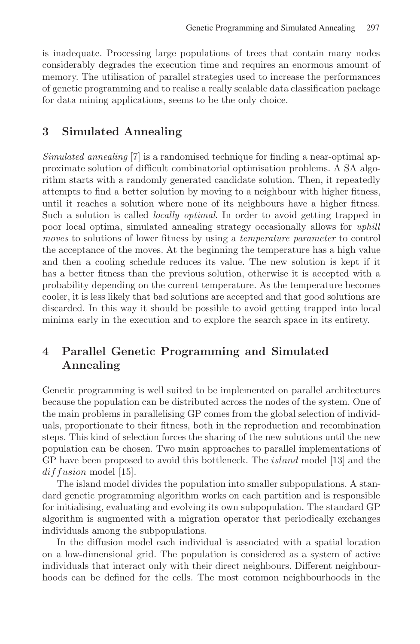is inadequate. Processing large populations of trees that contain many nodes considerably degrades the execution time and requires an enormous amount of memory. The utilisation of parallel strategies used to increase the performances of genetic programming and to realise a really scalable data classification package for data mining applications, seems to be the only choice.

## **3 Simulated Annealing**

Simulated annealing [7] is a randomised technique for finding a near-optimal approximate solution of difficult combinatorial optimisation problems. A SA algorithm starts with a randomly generated candidate solution. Then, it repeatedly attempts to find a better solution by moving to a neighbour with higher fitness, until it reaches a solution where none of its neighbours have a higher fitness. Such a solution is called locally optimal. In order to avoid getting trapped in poor local optima, simulated annealing strategy occasionally allows for uphill moves to solutions of lower fitness by using a *temperature parameter* to control the acceptance of the moves. At the beginning the temperature has a high value and then a cooling schedule reduces its value. The new solution is kept if it has a better fitness than the previous solution, otherwise it is accepted with a probability depending on the current temperature. As the temperature becomes cooler, it is less likely that bad solutions are accepted and that good solutions are discarded. In this way it should be possible to avoid getting trapped into local minima early in the execution and to explore the search space in its entirety.

## **4 Parallel Genetic Programming and Simulated Annealing**

Genetic programming is well suited to be implemented on parallel architectures because the population can be distributed across the nodes of the system. One of the main problems in parallelising GP comes from the global selection of individuals, proportionate to their fitness, both in the reproduction and recombination steps. This kind of selection forces the sharing of the new solutions until the new population can be chosen. Two main approaches to parallel implementations of GP have been proposed to avoid this bottleneck. The island model [13] and the  $diffusion$  model [15].

The island model divides the population into smaller subpopulations. A standard genetic programming algorithm works on each partition and is responsible for initialising, evaluating and evolving its own subpopulation. The standard GP algorithm is augmented with a migration operator that periodically exchanges individuals among the subpopulations.

In the diffusion model each individual is associated with a spatial location on a low-dimensional grid. The population is considered as a system of active individuals that interact only with their direct neighbours. Different neighbourhoods can be defined for the cells. The most common neighbourhoods in the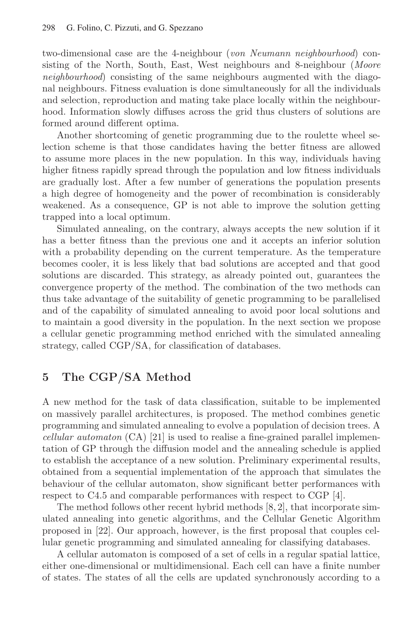two-dimensional case are the 4-neighbour (von Neumann neighbourhood) consisting of the North, South, East, West neighbours and 8-neighbour (Moore neighbourhood) consisting of the same neighbours augmented with the diagonal neighbours. Fitness evaluation is done simultaneously for all the individuals and selection, reproduction and mating take place locally within the neighbourhood. Information slowly diffuses across the grid thus clusters of solutions are formed around different optima.

Another shortcoming of genetic programming due to the roulette wheel selection scheme is that those candidates having the better fitness are allowed to assume more places in the new population. In this way, individuals having higher fitness rapidly spread through the population and low fitness individuals are gradually lost. After a few number of generations the population presents a high degree of homogeneity and the power of recombination is considerably weakened. As a consequence, GP is not able to improve the solution getting trapped into a local optimum.

Simulated annealing, on the contrary, always accepts the new solution if it has a better fitness than the previous one and it accepts an inferior solution with a probability depending on the current temperature. As the temperature becomes cooler, it is less likely that bad solutions are accepted and that good solutions are discarded. This strategy, as already pointed out, guarantees the convergence property of the method. The combination of the two methods can thus take advantage of the suitability of genetic programming to be parallelised and of the capability of simulated annealing to avoid poor local solutions and to maintain a good diversity in the population. In the next section we propose a cellular genetic programming method enriched with the simulated annealing strategy, called CGP/SA, for classification of databases.

#### **5 The CGP/SA Method**

A new method for the task of data classification, suitable to be implemented on massively parallel architectures, is proposed. The method combines genetic programming and simulated annealing to evolve a population of decision trees. A *cellular automaton*  $(CA)$  [21] is used to realise a fine-grained parallel implementation of GP through the diffusion model and the annealing schedule is applied to establish the acceptance of a new solution. Preliminary experimental results, obtained from a sequential implementation of the approach that simulates the behaviour of the cellular automaton, show significant better performances with respect to C4.5 and comparable performances with respect to CGP [4].

The method follows other recent hybrid methods [8, 2], that incorporate simulated annealing into genetic algorithms, and the Cellular Genetic Algorithm proposed in [22]. Our approach, however, is the first proposal that couples cellular genetic programming and simulated annealing for classifying databases.

A cellular automaton is composed of a set of cells in a regular spatial lattice, either one-dimensional or multidimensional. Each cell can have a finite number of states. The states of all the cells are updated synchronously according to a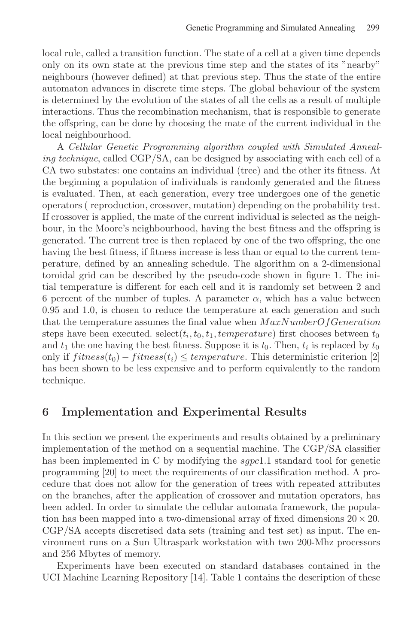local rule, called a transition function. The state of a cell at a given time depends only on its own state at the previous time step and the states of its "nearby" neighbours (however defined) at that previous step. Thus the state of the entire automaton advances in discrete time steps. The global behaviour of the system is determined by the evolution of the states of all the cells as a result of multiple interactions. Thus the recombination mechanism, that is responsible to generate the offspring, can be done by choosing the mate of the current individual in the local neighbourhood.

A Cellular Genetic Programming algorithm coupled with Simulated Annealing technique, called CGP/SA, can be designed by associating with each cell of a CA two substates: one contains an individual (tree) and the other its fitness. At the beginning a population of individuals is randomly generated and the fitness is evaluated. Then, at each generation, every tree undergoes one of the genetic operators ( reproduction, crossover, mutation) depending on the probability test. If crossover is applied, the mate of the current individual is selected as the neighbour, in the Moore's neighbourhood, having the best fitness and the offspring is generated. The current tree is then replaced by one of the two offspring, the one having the best fitness, if fitness increase is less than or equal to the current temperature, defined by an annealing schedule. The algorithm on a 2-dimensional toroidal grid can be described by the pseudo-code shown in figure 1. The initial temperature is different for each cell and it is randomly set between 2 and 6 percent of the number of tuples. A parameter  $\alpha$ , which has a value between 0.95 and 1.0, is chosen to reduce the temperature at each generation and such that the temperature assumes the final value when  $MaxNumberOfGeneration$ steps have been executed. select( $t_i, t_0, t_1, temperature$ ) first chooses between  $t_0$ and  $t_1$  the one having the best fitness. Suppose it is  $t_0$ . Then,  $t_i$  is replaced by  $t_0$ only if  $fitness(t_0) - fitness(t_i) \leq temperature$ . This deterministic criterion [2] has been shown to be less expensive and to perform equivalently to the random technique.

#### **6 Implementation and Experimental Results**

In this section we present the experiments and results obtained by a preliminary implementation of the method on a sequential machine. The CGP/SA classifier has been implemented in C by modifying the *sgpc*1.1 standard tool for genetic programming [20] to meet the requirements of our classification method. A procedure that does not allow for the generation of trees with repeated attributes on the branches, after the application of crossover and mutation operators, has been added. In order to simulate the cellular automata framework, the population has been mapped into a two-dimensional array of fixed dimensions  $20 \times 20$ . CGP/SA accepts discretised data sets (training and test set) as input. The environment runs on a Sun Ultraspark workstation with two 200-Mhz processors and 256 Mbytes of memory.

Experiments have been executed on standard databases contained in the UCI Machine Learning Repository [14]. Table 1 contains the description of these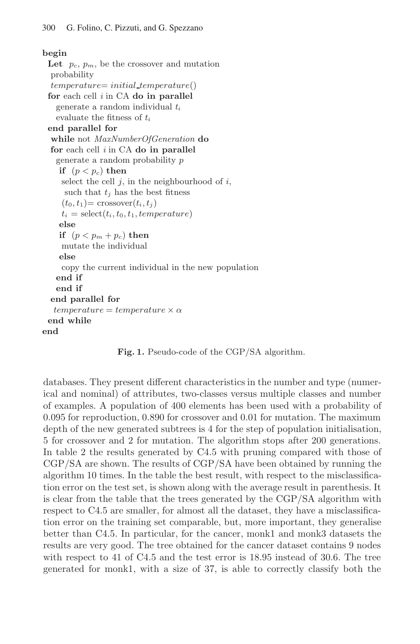#### **begin**

```
Let p_c, p_m, be the crossover and mutation
  probability
  temperature = initial temperature()
 for each cell i in CA do in parallel
   generate a random individual t_ievaluate the fitness of t_iend parallel for
  while not MaxNumberOfGeneration do
  for each cell i in CA do in parallel
   generate a random probability p
    if (p < p_c) then
    select the cell j, in the neighbourhood of i,
     such that t_j has the best fitness
     (t_0, t_1)= crossover(t_i, t_j)t_i = select(t_i, t_0, t_1, temperature)else
    if (p < p_m + p_c) then
    mutate the individual
    else
    copy the current individual in the new population
   end if
   end if
  end parallel for
   temperature = temperature \times \alphaend while
end
```
**Fig. 1.** Pseudo-code of the CGP/SA algorithm.

databases. They present different characteristics in the number and type (numerical and nominal) of attributes, two-classes versus multiple classes and number of examples. A population of 400 elements has been used with a probability of 0.095 for reproduction, 0.890 for crossover and 0.01 for mutation. The maximum depth of the new generated subtrees is 4 for the step of population initialisation, 5 for crossover and 2 for mutation. The algorithm stops after 200 generations. In table 2 the results generated by C4.5 with pruning compared with those of CGP/SA are shown. The results of CGP/SA have been obtained by running the algorithm 10 times. In the table the best result, with respect to the misclassification error on the test set, is shown along with the average result in parenthesis. It is clear from the table that the trees generated by the CGP/SA algorithm with respect to C4.5 are smaller, for almost all the dataset, they have a misclassification error on the training set comparable, but, more important, they generalise better than C4.5. In particular, for the cancer, monk1 and monk3 datasets the results are very good. The tree obtained for the cancer dataset contains 9 nodes with respect to 41 of C4.5 and the test error is 18.95 instead of 30.6. The tree generated for monk1, with a size of 37, is able to correctly classify both the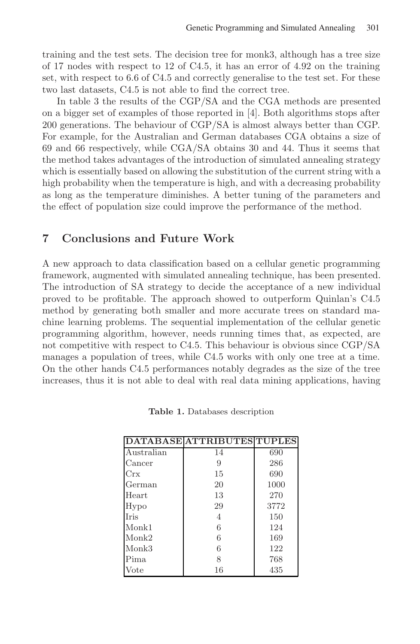training and the test sets. The decision tree for monk3, although has a tree size of 17 nodes with respect to 12 of C4.5, it has an error of 4.92 on the training set, with respect to 6.6 of C4.5 and correctly generalise to the test set. For these two last datasets, C4.5 is not able to find the correct tree.

In table 3 the results of the CGP/SA and the CGA methods are presented on a bigger set of examples of those reported in [4]. Both algorithms stops after 200 generations. The behaviour of CGP/SA is almost always better than CGP. For example, for the Australian and German databases CGA obtains a size of 69 and 66 respectively, while CGA/SA obtains 30 and 44. Thus it seems that the method takes advantages of the introduction of simulated annealing strategy which is essentially based on allowing the substitution of the current string with a high probability when the temperature is high, and with a decreasing probability as long as the temperature diminishes. A better tuning of the parameters and the effect of population size could improve the performance of the method.

#### **7 Conclusions and Future Work**

A new approach to data classification based on a cellular genetic programming framework, augmented with simulated annealing technique, has been presented. The introduction of SA strategy to decide the acceptance of a new individual proved to be profitable. The approach showed to outperform Quinlan's C4.5 method by generating both smaller and more accurate trees on standard machine learning problems. The sequential implementation of the cellular genetic programming algorithm, however, needs running times that, as expected, are not competitive with respect to C4.5. This behaviour is obvious since CGP/SA manages a population of trees, while C4.5 works with only one tree at a time. On the other hands C4.5 performances notably degrades as the size of the tree increases, thus it is not able to deal with real data mining applications, having

|            | DATABASE AT TRIBUTES TUPLES |      |
|------------|-----------------------------|------|
| Australian | 14                          | 690  |
| Cancer     | 9                           | 286  |
| Crx        | 15                          | 690  |
| German     | 20                          | 1000 |
| Heart      | 13                          | 270  |
| Hypo       | 29                          | 3772 |
| Iris       | 4                           | 150  |
| Monk1      | 6                           | 124  |
| Monk2      | 6                           | 169  |
| Monk3      | 6                           | 122  |
| Pima       | 8                           | 768  |
| Vote       | 16                          | 435  |

**Table 1.** Databases description

**DATABASE ATTRIBUTES TUPLES**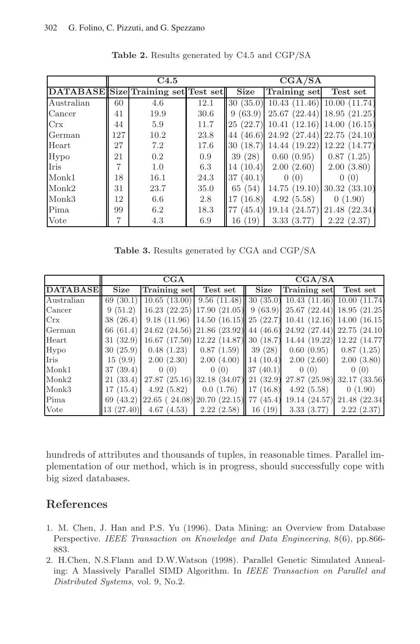|                                     | C <sub>4.5</sub> |      |      | CGA/SA      |                            |                 |  |
|-------------------------------------|------------------|------|------|-------------|----------------------------|-----------------|--|
| DATABASE Size Training set Test set |                  |      |      | <b>Size</b> | Training set               | Test set        |  |
| Australian                          | 60               | 4.6  | 12.1 | 30(35.0)    | 10.43(11.46)[10.00(11.74)] |                 |  |
| Cancer                              | 41               | 19.9 | 30.6 | 9(63.9)     | 25.67(22.44)               | 18.95(21.25)    |  |
| Crx                                 | 44               | 5.9  | 11.7 | 25(22.7)    | 10.41(12.16)               | 14.00(16.15)    |  |
| German                              | 127              | 10.2 | 23.8 | 44 $(46.6)$ | 24.92 (27.44)              | 22.75(24.10)    |  |
| Heart                               | 27               | 7.2  | 17.6 | 30(18.7)    | 14.44 (19.22)              | 12.22(14.77)    |  |
| Hypo                                | 21               | 0.2  | 0.9  | 39(28)      | 0.60(0.95)                 | 0.87(1.25)      |  |
| Iris                                | $\overline{7}$   | 1.0  | 6.3  | 14(10.4)    | 2.00(2.60)                 | 2.00(3.80)      |  |
| Monk1                               | 18               | 16.1 | 24.3 | 37(40.1)    | 0(0)                       | (0)<br>$\theta$ |  |
| Monk2                               | 31               | 23.7 | 35.0 | 65(54)      | 14.75(19.10)               | 30.32(33.10)    |  |
| Monk3                               | 12               | 6.6  | 2.8  | 17(16.8)    | 4.92(5.58)                 | 0(1.90)         |  |
| Pima                                | 99               | 6.2  | 18.3 | 77 (45.4)   | 19.14 (24.57)              | 21.48 (22.34)   |  |
| Vote                                | 7                | 4.3  | 6.9  | 16 (19)     | 3.33(3.77)                 | 2.22<br>(2.37)  |  |

**Table 2.** Results generated by C4.5 and CGP/SA

**Table 3.** Results generated by CGA and CGP/SA

|                 | CGA         |                                                                                                   |                                           | CGA/SA   |                                                                           |            |  |
|-----------------|-------------|---------------------------------------------------------------------------------------------------|-------------------------------------------|----------|---------------------------------------------------------------------------|------------|--|
| <b>DATABASE</b> | <b>Size</b> | Training set                                                                                      | Test set                                  | Size     | Training set                                                              | Test set   |  |
| Australian      | 69(30.1)    |                                                                                                   |                                           |          | $10.65(13.00)$ 9.56 $(11.48)$ 30 $(35.0)$ 10.43 $(11.46)$ 10.00 $(11.74)$ |            |  |
| Cancer          | 9(51.2)     | $16.23$ (22.25) 17.90 (21.05) 9 (63.9)                                                            |                                           |          | 25.67 (22.44) 18.95 (21.25)                                               |            |  |
| Crx             | 38(26.4)    |                                                                                                   | $9.18(11.96)$ 14.50 $(16.15)$ 25 $(22.7)$ |          | 10.41(12.16)14.00(16.15)                                                  |            |  |
| German          | 66 (61.4)   | $24.62$ (24.56) 21.86 (23.92) 44 (46.6)                                                           |                                           |          | 24.92 (27.44) 22.75 (24.10)                                               |            |  |
| Heart           | 31(32.9)    | $16.67 (17.50)$ $12.22 (14.87)$ 30 (18.7)                                                         |                                           |          | 14.44 (19.22) 12.22 (14.77)                                               |            |  |
| Hypo            | 30(25.9)    | 0.48(1.23)                                                                                        | 0.87(1.59)                                | 39(28)   | 0.60(0.95)                                                                | 0.87(1.25) |  |
| Iris            | 15(9.9)     | 2.00(2.30)                                                                                        | $2.00(4.00)$ 14 (10.4)                    |          | 2.00(2.60)                                                                | 2.00(3.80) |  |
| Monk1           | 37(39.4)    | 0(0)                                                                                              | 0(0)                                      | 37(40.1) | 0(0)                                                                      | 0(0)       |  |
| Monk2           | 21(33.4)    | $27.87 (25.16)   32.18 (34.07)   21 (32.9)$                                                       |                                           |          | 27.87 (25.98) 32.17 (33.56)                                               |            |  |
| Monk3           | 17(15.4)    | 4.92(5.82)                                                                                        | 0.0(1.76)                                 | 17(16.8) | 4.92(5.58)                                                                | 0(1.90)    |  |
| Pima            |             | 69 (43.2) $\big  22.65 \big( 24.08 \big) \big  20.70 \big( 22.15 \big) \big  77 \big( 45.4 \big)$ |                                           |          | 19.14 (24.57) 21.48 (22.34)                                               |            |  |
| Vote            | 13(27.40)   | 4.67(4.53)                                                                                        | 2.22(2.58)                                | 16(19)   | 3.33(3.77)                                                                | 2.22(2.37) |  |

hundreds of attributes and thousands of tuples, in reasonable times. Parallel implementation of our method, which is in progress, should successfully cope with big sized databases.

## **References**

- 1. M. Chen, J. Han and P.S. Yu (1996). Data Mining: an Overview from Database Perspective. IEEE Transaction on Knowledge and Data Engineering, 8(6), pp.866- 883.
- 2. H.Chen, N.S.Flann and D.W.Watson (1998). Parallel Genetic Simulated Annealing: A Massively Parallel SIMD Algorithm. In IEEE Transaction on Parallel and Distributed Systems, vol. 9, No.2.